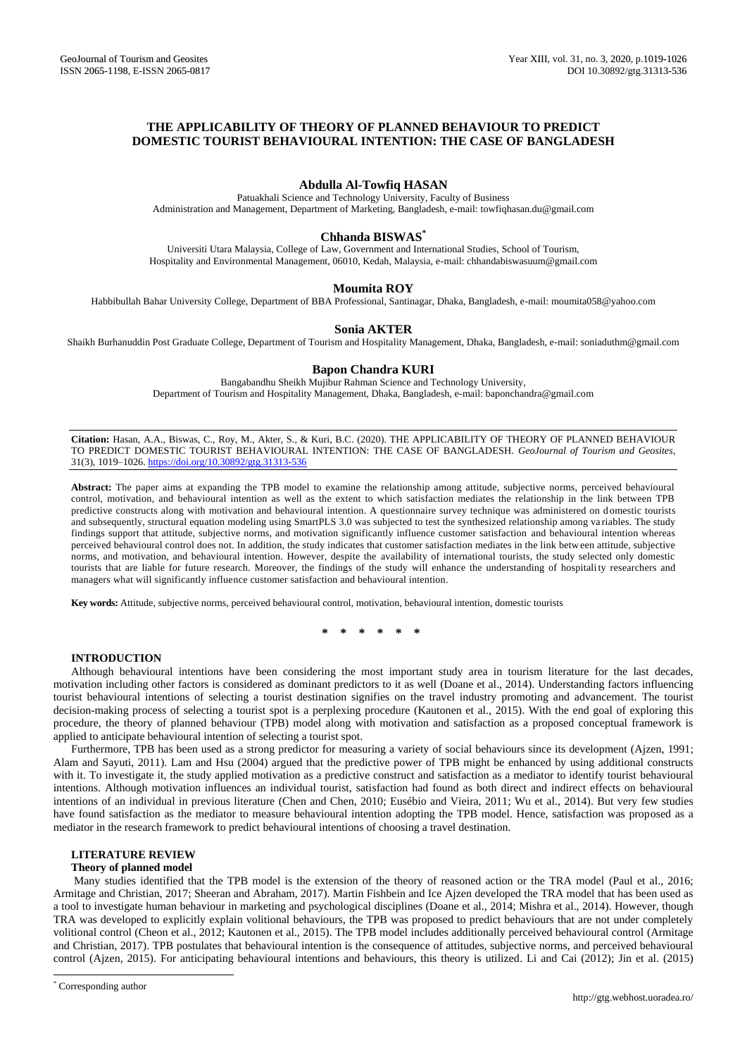# **THE APPLICABILITY OF THEORY OF PLANNED BEHAVIOUR TO PREDICT DOMESTIC TOURIST BEHAVIOURAL INTENTION: THE CASE OF BANGLADESH**

# **Abdulla Al-Towfiq HASAN**

Patuakhali Science and Technology University, Faculty of Business Administration and Management, Department of Marketing, Bangladesh, e-mail: towfiqhasan.du@gmail.com

## **Chhanda BISWAS\***

Universiti Utara Malaysia, College of Law, Government and International Studies, School of Tourism, Hospitality and Environmental Management, 06010, Kedah, Malaysia, e-mail: chhandabiswasuum@gmail.com

### **Moumita ROY**

Habbibullah Bahar University College, Department of BBA Professional, Santinagar, Dhaka, Bangladesh, e-mail: moumita058@yahoo.com

### **Sonia AKTER**

Shaikh Burhanuddin Post Graduate College, Department of Tourism and Hospitality Management, Dhaka, Bangladesh, e-mail: soniaduthm@gmail.com

## **Bapon Chandra KURI**

Bangabandhu Sheikh Mujibur Rahman Science and Technology University, Department of Tourism and Hospitality Management, Dhaka, Bangladesh, e-mail: baponchandra@gmail.com

**Citation:** Hasan, A.A., Biswas, C., Roy, M., Akter, S., & Kuri, B.C. (2020). THE APPLICABILITY OF THEORY OF PLANNED BEHAVIOUR TO PREDICT DOMESTIC TOURIST BEHAVIOURAL INTENTION: THE CASE OF BANGLADESH. *GeoJournal of Tourism and Geosites*, 31(3), 1019–1026. <https://doi.org/10.30892/gtg.31313-536>

**Abstract:** The paper aims at expanding the TPB model to examine the relationship among attitude, subjective norms, perceived behavioural control, motivation, and behavioural intention as well as the extent to which satisfaction mediates the relationship in the link between TPB predictive constructs along with motivation and behavioural intention. A questionnaire survey technique was administered on d omestic tourists and subsequently, structural equation modeling using SmartPLS 3.0 was subjected to test the synthesized relationship among va riables. The study findings support that attitude, subjective norms, and motivation significantly influence customer satisfaction and behavioural intention whereas perceived behavioural control does not. In addition, the study indicates that customer satisfaction mediates in the link between attitude, subjective norms, and motivation, and behavioural intention. However, despite the availability of international tourists, the study selected only domestic tourists that are liable for future research. Moreover, the findings of the study will enhance the understanding of hospitali ty researchers and managers what will significantly influence customer satisfaction and behavioural intention.

**Key words:** Attitude, subjective norms, perceived behavioural control, motivation, behavioural intention, domestic tourists

**\* \* \* \* \* \***

## **INTRODUCTION**

Although behavioural intentions have been considering the most important study area in tourism literature for the last decades, motivation including other factors is considered as dominant predictors to it as well (Doane et al., 2014). Understanding factors influencing tourist behavioural intentions of selecting a tourist destination signifies on the travel industry promoting and advancement. The tourist decision-making process of selecting a tourist spot is a perplexing procedure (Kautonen et al., 2015). With the end goal of exploring this procedure, the theory of planned behaviour (TPB) model along with motivation and satisfaction as a proposed conceptual framework is applied to anticipate behavioural intention of selecting a tourist spot.

Furthermore, TPB has been used as a strong predictor for measuring a variety of social behaviours since its development (Ajzen, 1991; Alam and Sayuti, 2011). Lam and Hsu (2004) argued that the predictive power of TPB might be enhanced by using additional constructs with it. To investigate it, the study applied motivation as a predictive construct and satisfaction as a mediator to identify tourist behavioural intentions. Although motivation influences an individual tourist, satisfaction had found as both direct and indirect effects on behavioural intentions of an individual in previous literature (Chen and Chen, 2010; Eusébio and Vieira, 2011; Wu et al., 2014). But very few studies have found satisfaction as the mediator to measure behavioural intention adopting the TPB model. Hence, satisfaction was proposed as a mediator in the research framework to predict behavioural intentions of choosing a travel destination.

### **LITERATURE REVIEW**

### **Theory of planned model**

Many studies identified that the TPB model is the extension of the theory of reasoned action or the TRA model (Paul et al., 2016; Armitage and Christian, 2017; Sheeran and Abraham, 2017). Martin Fishbein and Ice [Ajzen](https://en.wikipedia.org/wiki/Icek_Ajzen) developed the TRA model that has been used as a tool to investigate human behaviour in marketing and psychological disciplines (Doane et al., 2014; Mishra et al., 2014). However, though TRA was developed to explicitly explain volitional behaviours, the TPB was proposed to predict behaviours that are not under completely volitional control (Cheon et al., 2012; Kautonen et al., 2015). The TPB model includes additionally perceived behavioural control (Armitage and Christian, 2017). TPB postulates that behavioural intention is the consequence of attitudes, subjective norms, and perceived behavioural control (Ajzen, 2015). For anticipating behavioural intentions and behaviours, this theory is utilized. Li and Cai (2012); Jin et al. (2015)

\* Corresponding author

l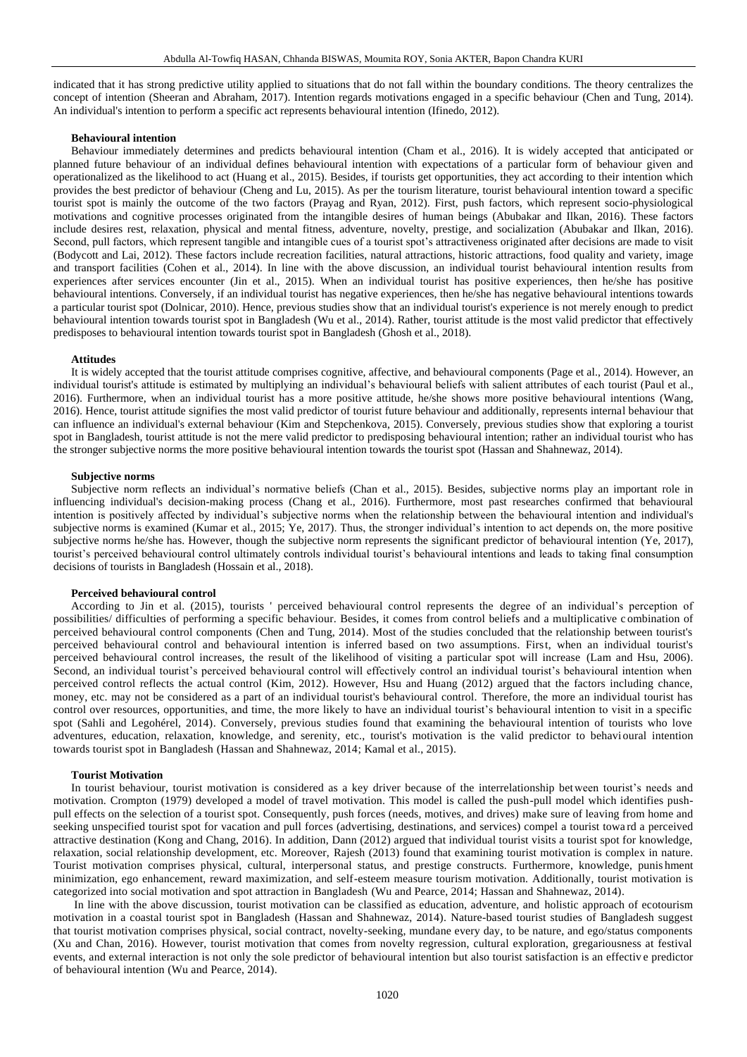indicated that it has strong predictive utility applied to situations that do not fall within the boundary conditions. The theory centralizes the concept of intention (Sheeran and Abraham, 2017). Intention regards motivations engaged in a specific behaviour (Chen and Tung, 2014). An individual's intention to perform a specific act represents behavioural intention (Ifinedo, 2012).

#### **Behavioural intention**

Behaviour immediately determines and predicts behavioural intention (Cham et al., 2016). It is widely accepted that anticipated or planned future behaviour of an individual defines behavioural intention with expectations of a particular form of behaviour given and operationalized as the likelihood to act (Huang et al., 2015). Besides, if tourists get opportunities, they act according to their intention which provides the best predictor of behaviour (Cheng and Lu, 2015). As per the tourism literature, tourist behavioural intention toward a specific tourist spot is mainly the outcome of the two factors (Prayag and Ryan, 2012). First, push factors, which represent socio-physiological motivations and cognitive processes originated from the intangible desires of human beings (Abubakar and Ilkan, 2016). These factors include desires rest, relaxation, physical and mental fitness, adventure, novelty, prestige, and socialization (Abubakar and Ilkan, 2016). Second, pull factors, which represent tangible and intangible cues of a tourist spot's attractiveness originated after decisions are made to visit (Bodycott and Lai, 2012). These factors include recreation facilities, natural attractions, historic attractions, food quality and variety, image and transport facilities (Cohen et al., 2014). In line with the above discussion, an individual tourist behavioural intention results from experiences after services encounter (Jin et al., 2015). When an individual tourist has positive experiences, then he/she has positive behavioural intentions. Conversely, if an individual tourist has negative experiences, then he/she has negative behavioural intentions towards a particular tourist spot (Dolnicar, 2010). Hence, previous studies show that an individual tourist's experience is not merely enough to predict behavioural intention towards tourist spot in Bangladesh (Wu et al., 2014). Rather, tourist attitude is the most valid predictor that effectively predisposes to behavioural intention towards tourist spot in Bangladesh (Ghosh et al., 2018).

#### **Attitudes**

It is widely accepted that the tourist attitude comprises cognitive, affective, and behavioural components (Page et al., 2014). However, an individual tourist's attitude is estimated by multiplying an individual's behavioural beliefs with salient attributes of each tourist (Paul et al., 2016). Furthermore, when an individual tourist has a more positive attitude, he/she shows more positive behavioural intentions (Wang, 2016). Hence, tourist attitude signifies the most valid predictor of tourist future behaviour and additionally, represents internal behaviour that can influence an individual's external behaviour (Kim and Stepchenkova, 2015). Conversely, previous studies show that exploring a tourist spot in Bangladesh, tourist attitude is not the mere valid predictor to predisposing behavioural intention; rather an individual tourist who has the stronger subjective norms the more positive behavioural intention towards the tourist spot (Hassan and Shahnewaz, 2014).

### **Subjective norms**

Subjective norm reflects an individual's normative beliefs (Chan et al., 2015). Besides, subjective norms play an important role in influencing individual's decision-making process (Chang et al., 2016). Furthermore, most past researches confirmed that behavioural intention is positively affected by individual's subjective norms when the relationship between the behavioural intention and individual's subjective norms is examined (Kumar et al., 2015; Ye, 2017). Thus, the stronger individual's intention to act depends on, the more positive subjective norms he/she has. However, though the subjective norm represents the significant predictor of behavioural intention (Ye, 2017), tourist's perceived behavioural control ultimately controls individual tourist's behavioural intentions and leads to taking final consumption decisions of tourists in Bangladesh (Hossain et al., 2018).

### **Perceived behavioural control**

According to Jin et al. (2015), tourists ' perceived behavioural control represents the degree of an individual's perception of possibilities/ difficulties of performing a specific behaviour. Besides, it comes from control beliefs and a multiplicative c ombination of perceived behavioural control components (Chen and Tung, 2014). Most of the studies concluded that the relationship between tourist's perceived behavioural control and behavioural intention is inferred based on two assumptions. First, when an individual tourist's perceived behavioural control increases, the result of the likelihood of visiting a particular spot will increase (Lam and Hsu, 2006). Second, an individual tourist's perceived behavioural control will effectively control an individual tourist's behavioural intention when perceived control reflects the actual control (Kim, 2012). However, Hsu and Huang (2012) argued that the factors including chance, money, etc. may not be considered as a part of an individual tourist's behavioural control. Therefore, the more an individual tourist has control over resources, opportunities, and time, the more likely to have an individual tourist's behavioural intention to visit in a specific spot (Sahli and Legohérel, 2014). Conversely, previous studies found that examining the behavioural intention of tourists who love adventures, education, relaxation, knowledge, and serenity, etc., tourist's motivation is the valid predictor to behavi oural intention towards tourist spot in Bangladesh (Hassan and Shahnewaz, 2014; Kamal et al., 2015).

## **Tourist Motivation**

In tourist behaviour, tourist motivation is considered as a key driver because of the interrelationship between tourist's needs and motivation. Crompton (1979) developed a model of travel motivation. This model is called the push-pull model which identifies pushpull effects on the selection of a tourist spot. Consequently, push forces (needs, motives, and drives) make sure of leaving from home and seeking unspecified tourist spot for vacation and pull forces (advertising, destinations, and services) compel a tourist towa rd a perceived attractive destination (Kong and Chang, 2016). In addition, Dann (2012) argued that individual tourist visits a tourist spot for knowledge, relaxation, social relationship development, etc. Moreover, Rajesh (2013) found that examining tourist motivation is complex in nature. Tourist motivation comprises physical, cultural, interpersonal status, and prestige constructs. Furthermore, knowledge, punis hment minimization, ego enhancement, reward maximization, and self-esteem measure tourism motivation. Additionally, tourist motivation is categorized into social motivation and spot attraction in Bangladesh (Wu and Pearce, 2014; Hassan and Shahnewaz, 2014).

In line with the above discussion, tourist motivation can be classified as education, adventure, and holistic approach of ecotourism motivation in a coastal tourist spot in Bangladesh (Hassan and Shahnewaz, 2014). Nature-based tourist studies of Bangladesh suggest that tourist motivation comprises physical, social contract, novelty-seeking, mundane every day, to be nature, and ego/status components (Xu and Chan, 2016). However, tourist motivation that comes from novelty regression, cultural exploration, gregariousness at festival events, and external interaction is not only the sole predictor of behavioural intention but also tourist satisfaction is an effective predictor of behavioural intention (Wu and Pearce, 2014).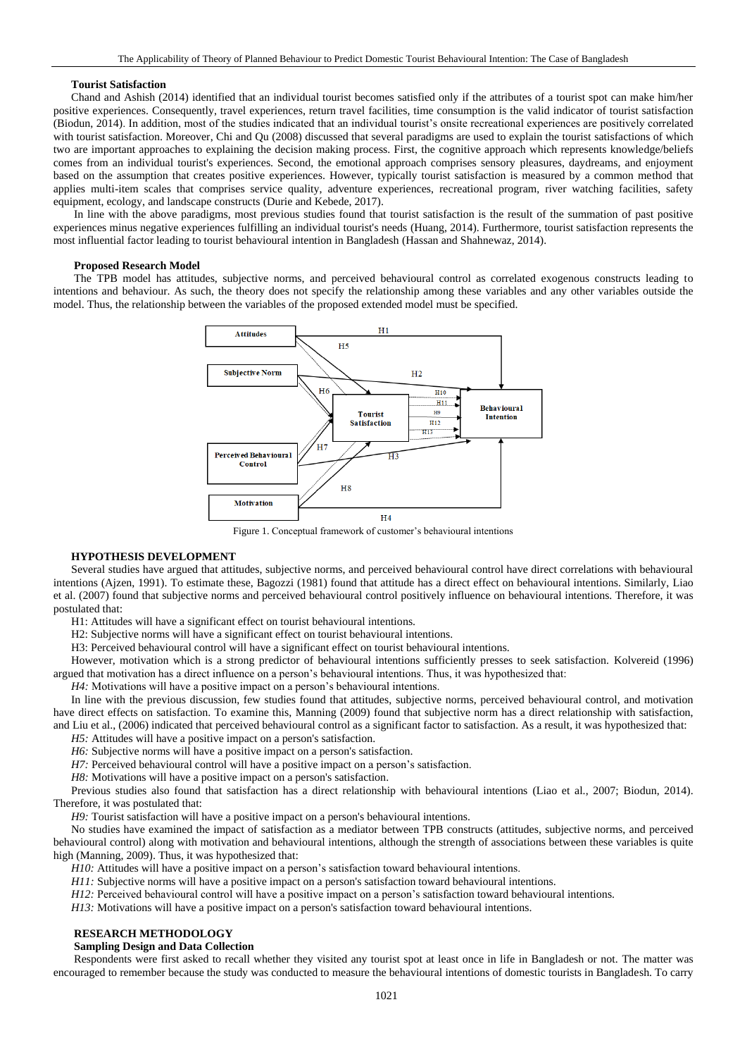## **Tourist Satisfaction**

Chand and Ashish (2014) identified that an individual tourist becomes satisfied only if the attributes of a tourist spot can make him/her positive experiences. Consequently, travel experiences, return travel facilities, time consumption is the valid indicator of tourist satisfaction (Biodun, 2014). In addition, most of the studies indicated that an individual tourist's onsite recreational experiences are positively correlated with tourist satisfaction. Moreover, Chi and Qu (2008) discussed that several paradigms are used to explain the tourist satisfactions of which two are important approaches to explaining the decision making process. First, the cognitive approach which represents knowledge/beliefs comes from an individual tourist's experiences. Second, the emotional approach comprises sensory pleasures, daydreams, and enjoyment based on the assumption that creates positive experiences. However, typically tourist satisfaction is measured by a common method that applies multi-item scales that comprises service quality, adventure experiences, recreational program, river watching facilities, safety equipment, ecology, and landscape constructs (Durie and Kebede, 2017).

In line with the above paradigms, most previous studies found that tourist satisfaction is the result of the summation of past positive experiences minus negative experiences fulfilling an individual tourist's needs (Huang, 2014). Furthermore, tourist satisfaction represents the most influential factor leading to tourist behavioural intention in Bangladesh (Hassan and Shahnewaz, 2014).

### **Proposed Research Model**

The TPB model has attitudes, subjective norms, and perceived behavioural control as correlated exogenous constructs leading to intentions and behaviour. As such, the theory does not specify the relationship among these variables and any other variables outside the model. Thus, the relationship between the variables of the proposed extended model must be specified.



Figure 1. Conceptual framework of customer's behavioural intentions

## **HYPOTHESIS DEVELOPMENT**

Several studies have argued that attitudes, subjective norms, and perceived behavioural control have direct correlations with behavioural intentions (Ajzen, 1991). To estimate these, Bagozzi (1981) found that attitude has a direct effect on behavioural intentions. Similarly, Liao et al. (2007) found that subjective norms and perceived behavioural control positively influence on behavioural intentions. Therefore, it was postulated that:

H1: Attitudes will have a significant effect on tourist behavioural intentions.

H2: Subjective norms will have a significant effect on tourist behavioural intentions.

H3: Perceived behavioural control will have a significant effect on tourist behavioural intentions.

However, motivation which is a strong predictor of behavioural intentions sufficiently presses to seek satisfaction. Kolvereid (1996) argued that motivation has a direct influence on a person's behavioural intentions. Thus, it was hypothesized that:

*H4:* Motivations will have a positive impact on a person's behavioural intentions.

In line with the previous discussion, few studies found that attitudes, subjective norms, perceived behavioural control, and motivation have direct effects on satisfaction. To examine this, Manning (2009) found that subjective norm has a direct relationship with satisfaction, and Liu et al., (2006) indicated that perceived behavioural control as a significant factor to satisfaction. As a result, it was hypothesized that:

*H5:* Attitudes will have a positive impact on a person's satisfaction.

*H6*: Subjective norms will have a positive impact on a person's satisfaction.

*H7*: Perceived behavioural control will have a positive impact on a person's satisfaction.

*H8:* Motivations will have a positive impact on a person's satisfaction.

Previous studies also found that satisfaction has a direct relationship with behavioural intentions (Liao et al., 2007; Biodun, 2014). Therefore, it was postulated that:

*H9*: Tourist satisfaction will have a positive impact on a person's behavioural intentions.

No studies have examined the impact of satisfaction as a mediator between TPB constructs (attitudes, subjective norms, and perceived behavioural control) along with motivation and behavioural intentions, although the strength of associations between these variables is quite high (Manning, 2009). Thus, it was hypothesized that:

*H10:* Attitudes will have a positive impact on a person's satisfaction toward behavioural intentions.

*H11:* Subjective norms will have a positive impact on a person's satisfaction toward behavioural intentions.

*H12:* Perceived behavioural control will have a positive impact on a person's satisfaction toward behavioural intentions.

*H13*: Motivations will have a positive impact on a person's satisfaction toward behavioural intentions.

## **RESEARCH METHODOLOGY**

#### **Sampling Design and Data Collection**

Respondents were first asked to recall whether they visited any tourist spot at least once in life in Bangladesh or not. The matter was encouraged to remember because the study was conducted to measure the behavioural intentions of domestic tourists in Bangladesh. To carry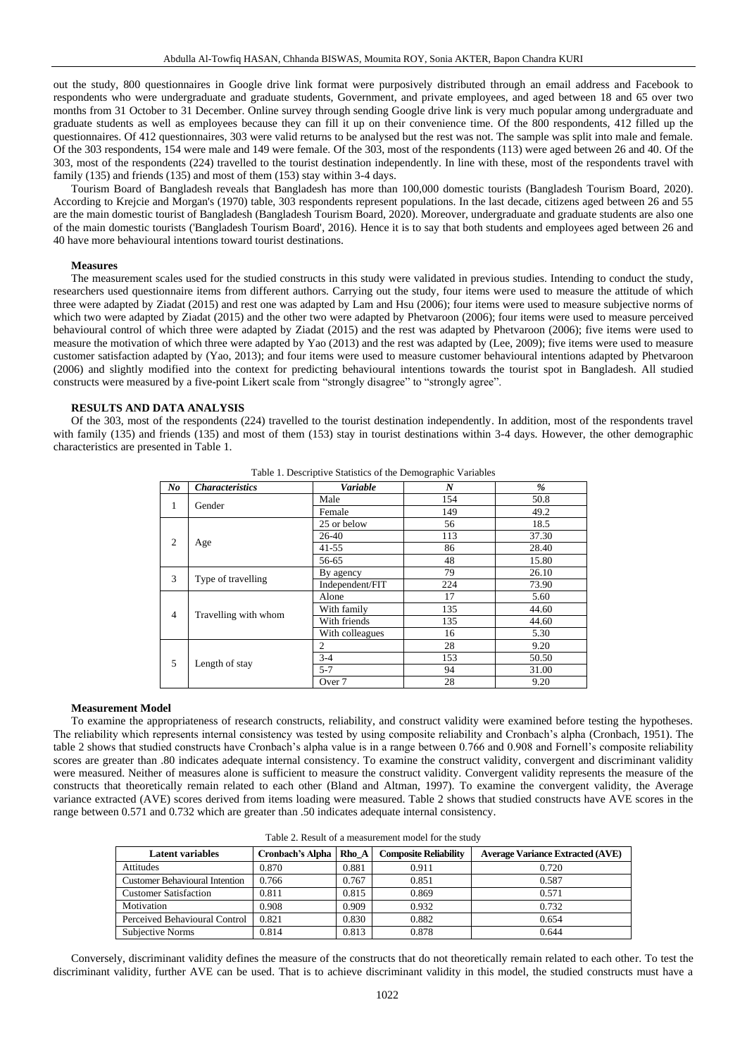out the study, 800 questionnaires in Google drive link format were purposively distributed through an email address and Facebook to respondents who were undergraduate and graduate students, Government, and private employees, and aged between 18 and 65 over two months from 31 October to 31 December. Online survey through sending Google drive link is very much popular among undergraduate and graduate students as well as employees because they can fill it up on their convenience time. Of the 800 respondents, 412 filled up the questionnaires. Of 412 questionnaires, 303 were valid returns to be analysed but the rest was not. The sample was split into male and female. Of the 303 respondents, 154 were male and 149 were female. Of the 303, most of the respondents (113) were aged between 26 and 40. Of the 303, most of the respondents (224) travelled to the tourist destination independently. In line with these, most of the respondents travel with family (135) and friends (135) and most of them (153) stay within 3-4 days.

Tourism Board of Bangladesh reveals that Bangladesh has more than 100,000 domestic tourists (Bangladesh Tourism Board, 2020). According to Krejcie and Morgan's (1970) table, 303 respondents represent populations. In the last decade, citizens aged between 26 and 55 are the main domestic tourist of Bangladesh (Bangladesh Tourism Board, 2020). Moreover, undergraduate and graduate students are also one of the main domestic tourists ('Bangladesh Tourism Board', 2016). Hence it is to say that both students and employees aged between 26 and 40 have more behavioural intentions toward tourist destinations.

### **Measures**

The measurement scales used for the studied constructs in this study were validated in previous studies. Intending to conduct the study, researchers used questionnaire items from different authors. Carrying out the study, four items were used to measure the attitude of which three were adapted by Ziadat (2015) and rest one was adapted by Lam and Hsu (2006); four items were used to measure subjective norms of which two were adapted by Ziadat (2015) and the other two were adapted by Phetvaroon (2006); four items were used to measure perceived behavioural control of which three were adapted by Ziadat (2015) and the rest was adapted by Phetvaroon (2006); five items were used to measure the motivation of which three were adapted by Yao (2013) and the rest was adapted by (Lee, 2009); five items were used to measure customer satisfaction adapted by (Yao, 2013); and four items were used to measure customer behavioural intentions adapted by Phetvaroon (2006) and slightly modified into the context for predicting behavioural intentions towards the tourist spot in Bangladesh. All studied constructs were measured by a five-point Likert scale from "strongly disagree" to "strongly agree".

## **RESULTS AND DATA ANALYSIS**

Of the 303, most of the respondents (224) travelled to the tourist destination independently. In addition, most of the respondents travel with family (135) and friends (135) and most of them (153) stay in tourist destinations within 3-4 days. However, the other demographic characteristics are presented in Table 1.

| $N_{0}$        | <b>Characteristics</b> | Variable                                                                                                                                                                              | N   | $\%$  |
|----------------|------------------------|---------------------------------------------------------------------------------------------------------------------------------------------------------------------------------------|-----|-------|
|                |                        | Male                                                                                                                                                                                  | 154 | 50.8  |
| $\mathbf{1}$   | Gender                 | Female<br>25 or below<br>26-40<br>$41 - 55$<br>56-65<br>By agency<br>Independent/FIT<br>Alone<br>With family<br>With friends<br>With colleagues<br>$\overline{c}$<br>$3-4$<br>$5 - 7$ | 149 | 49.2  |
|                |                        |                                                                                                                                                                                       | 56  | 18.5  |
| 2              |                        |                                                                                                                                                                                       | 113 | 37.30 |
|                | Age                    |                                                                                                                                                                                       | 86  |       |
| 3              |                        |                                                                                                                                                                                       | 48  | 15.80 |
|                |                        |                                                                                                                                                                                       | 79  | 26.10 |
|                | Type of travelling     |                                                                                                                                                                                       | 224 | 73.90 |
|                | Travelling with whom   |                                                                                                                                                                                       | 17  | 5.60  |
| $\overline{4}$ |                        |                                                                                                                                                                                       | 135 | 44.60 |
|                |                        |                                                                                                                                                                                       | 135 | 44.60 |
|                |                        |                                                                                                                                                                                       | 16  | 5.30  |
|                |                        |                                                                                                                                                                                       | 28  | 9.20  |
| 5              | Length of stay         |                                                                                                                                                                                       | 153 | 50.50 |
|                |                        |                                                                                                                                                                                       | 94  | 31.00 |
|                |                        | Over 7                                                                                                                                                                                | 28  | 9.20  |

Table 1. Descriptive Statistics of the Demographic Variables

## **Measurement Model**

To examine the appropriateness of research constructs, reliability, and construct validity were examined before testing the hypotheses. The reliability which represents internal consistency was tested by using composite reliability and Cronbach's alpha (Cronbach, 1951). The table 2 shows that studied constructs have Cronbach's alpha value is in a range between 0.766 and 0.908 and Fornell's composite reliability scores are greater than .80 indicates adequate internal consistency. To examine the construct validity, convergent and discriminant validity were measured. Neither of measures alone is sufficient to measure the construct validity. Convergent validity represents the measure of the constructs that theoretically remain related to each other (Bland and Altman, 1997). To examine the convergent validity, the Average variance extracted (AVE) scores derived from items loading were measured. Table 2 shows that studied constructs have AVE scores in the range between 0.571 and 0.732 which are greater than .50 indicates adequate internal consistency.

|  | Table 2. Result of a measurement model for the study |  |
|--|------------------------------------------------------|--|
|--|------------------------------------------------------|--|

| <b>Latent variables</b>               | <b>Cronbach's Alpha</b> | Rho A | <b>Composite Reliability</b> | <b>Average Variance Extracted (AVE)</b> |
|---------------------------------------|-------------------------|-------|------------------------------|-----------------------------------------|
| Attitudes                             | 0.870                   | 0.881 | 0.911                        | 0.720                                   |
| <b>Customer Behavioural Intention</b> | 0.766                   | 0.767 | 0.851                        | 0.587                                   |
| <b>Customer Satisfaction</b>          | 0.811                   | 0.815 | 0.869                        | 0.571                                   |
| Motivation                            | 0.908                   | 0.909 | 0.932                        | 0.732                                   |
| Perceived Behavioural Control         | 0.821                   | 0.830 | 0.882                        | 0.654                                   |
| Subjective Norms                      | 0.814                   | 0.813 | 0.878                        | 0.644                                   |

Conversely, discriminant validity defines the measure of the constructs that do not theoretically remain related to each other. To test the discriminant validity, further AVE can be used. That is to achieve discriminant validity in this model, the studied constructs must have a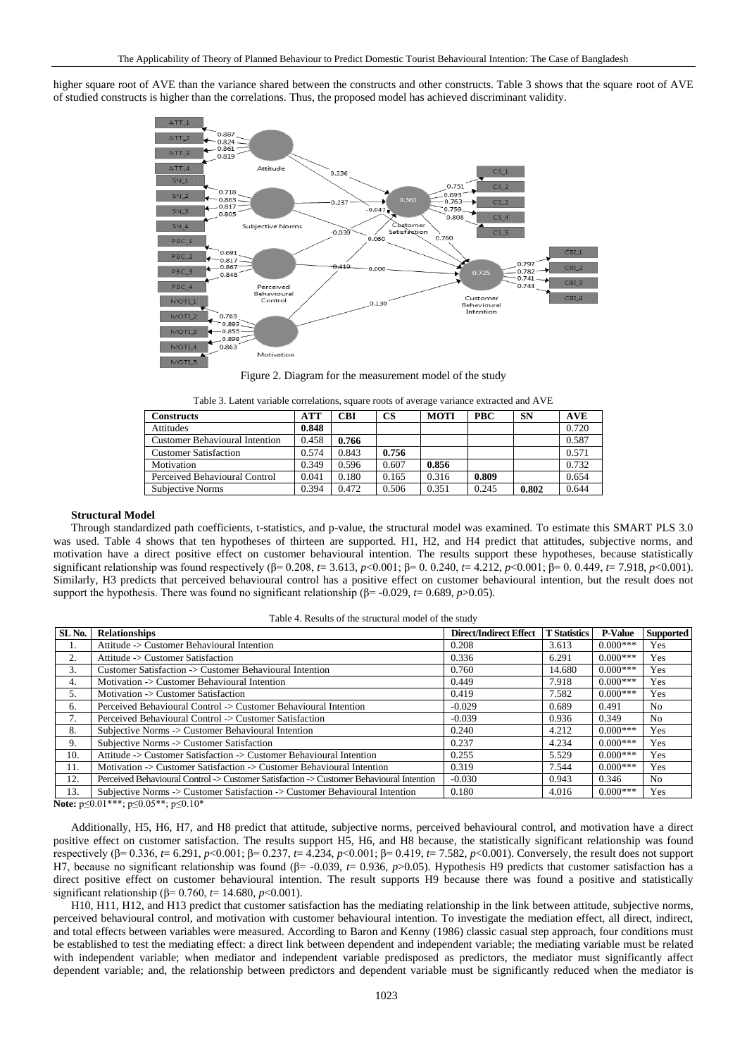higher square root of AVE than the variance shared between the constructs and other constructs. Table 3 shows that the square root of AVE of studied constructs is higher than the correlations. Thus, the proposed model has achieved discriminant validity.



Figure 2. Diagram for the measurement model of the study

| Table 3. Latent variable correlations, square roots of average variance extracted and AVE |  |  |  |  |
|-------------------------------------------------------------------------------------------|--|--|--|--|
|                                                                                           |  |  |  |  |

| Constructs                            | <b>ATT</b> | CBI   | <b>CS</b> | <b>MOTI</b> | <b>PBC</b> | SN    | <b>AVE</b> |
|---------------------------------------|------------|-------|-----------|-------------|------------|-------|------------|
| Attitudes                             | 0.848      |       |           |             |            |       | 0.720      |
| <b>Customer Behavioural Intention</b> | 0.458      | 0.766 |           |             |            |       | 0.587      |
| <b>Customer Satisfaction</b>          | 0.574      | 0.843 | 0.756     |             |            |       | 0.571      |
| Motivation                            | 0.349      | 0.596 | 0.607     | 0.856       |            |       | 0.732      |
| Perceived Behavioural Control         | 0.041      | 0.180 | 0.165     | 0.316       | 0.809      |       | 0.654      |
| <b>Subjective Norms</b>               | 0.394      | 0.472 | 0.506     | 0.351       | 0.245      | 0.802 | 0.644      |
|                                       |            |       |           |             |            |       |            |

## **Structural Model**

Through standardized path coefficients, t-statistics, and p-value, the structural model was examined. To estimate this SMART PLS 3.0 was used. Table 4 shows that ten hypotheses of thirteen are supported. H1, H2, and H4 predict that attitudes, subjective norms, and motivation have a direct positive effect on customer behavioural intention. The results support these hypotheses, because statistically significant relationship was found respectively (β= 0.208, *t*= 3.613, *p*<0.001; β= 0. 0.240, *t*= 4.212, *p*<0.001; β= 0. 0.449, *t*= 7.918, *p*<0.001). Similarly, H3 predicts that perceived behavioural control has a positive effect on customer behavioural intention, but the result does not support the hypothesis. There was found no significant relationship ( $\beta$ = -0.029, *t*= 0.689, *p*>0.05).

|  |  |  | Table 4. Results of the structural model of the study |  |  |  |
|--|--|--|-------------------------------------------------------|--|--|--|
|--|--|--|-------------------------------------------------------|--|--|--|

| SL <sub>No.</sub> | <b>Relationships</b>                                                                     | <b>Direct/Indirect Effect</b> | <b>T</b> Statistics | <b>P-Value</b> | <b>Supported</b> |
|-------------------|------------------------------------------------------------------------------------------|-------------------------------|---------------------|----------------|------------------|
| 1.                | Attitude -> Customer Behavioural Intention                                               | 0.208                         | 3.613               | $0.000***$     | Yes              |
| ↑                 | Attitude -> Customer Satisfaction                                                        | 0.336                         | 6.291               | $0.000***$     | Yes              |
| 3.                | Customer Satisfaction -> Customer Behavioural Intention                                  | 0.760                         | 14.680              | $0.000***$     | Yes              |
| 4.                | Motivation -> Customer Behavioural Intention                                             | 0.449                         | 7.918               | $0.000***$     | Yes              |
|                   | Motivation -> Customer Satisfaction                                                      | 0.419                         | 7.582               | $0.000***$     | Yes              |
| 6.                | Perceived Behavioural Control -> Customer Behavioural Intention                          | $-0.029$                      | 0.689               | 0.491          | No               |
| 7.                | Perceived Behavioural Control -> Customer Satisfaction                                   | $-0.039$                      | 0.936               | 0.349          | N <sub>0</sub>   |
| 8.                | Subjective Norms -> Customer Behavioural Intention                                       | 0.240                         | 4.212               | $0.000***$     | Yes              |
| 9.                | Subjective Norms -> Customer Satisfaction                                                | 0.237                         | 4.234               | $0.000***$     | Yes              |
| 10.               | Attitude -> Customer Satisfaction -> Customer Behavioural Intention                      | 0.255                         | 5.529               | $0.000***$     | Yes              |
| 11.               | Motivation -> Customer Satisfaction -> Customer Behavioural Intention                    | 0.319                         | 7.544               | $0.000***$     | Yes              |
| 12.               | Perceived Behavioural Control -> Customer Satisfaction -> Customer Behavioural Intention | $-0.030$                      | 0.943               | 0.346          | N <sub>0</sub>   |
| 13.               | Subjective Norms -> Customer Satisfaction -> Customer Behavioural Intention              | 0.180                         | 4.016               | $0.000***$     | Yes              |

**Note:** p≤0.01\*\*\*; p≤0.05\*\*; p≤0.10\*

Additionally, H5, H6, H7, and H8 predict that attitude, subjective norms, perceived behavioural control, and motivation have a direct positive effect on customer satisfaction. The results support H5, H6, and H8 because, the statistically significant relationship was found respectively (β= 0.336, *t*= 6.291, *p*<0.001; β= 0.237, *t*= 4.234, *p*<0.001; β= 0.419, *t*= 7.582, *p*<0.001). Conversely, the result does not support H7, because no significant relationship was found (β= -0.039, *t*= 0.936, *p*>0.05). Hypothesis H9 predicts that customer satisfaction has a direct positive effect on customer behavioural intention. The result supports H9 because there was found a positive and statistically significant relationship (β= 0.760, *t*= 14.680, *p*<0.001).

H10, H11, H12, and H13 predict that customer satisfaction has the mediating relationship in the link between attitude, subjective norms, perceived behavioural control, and motivation with customer behavioural intention. To investigate the mediation effect, all direct, indirect, and total effects between variables were measured. According to Baron and Kenny (1986) classic casual step approach, four conditions must be established to test the mediating effect: a direct link between dependent and independent variable; the mediating variable must be related with independent variable; when mediator and independent variable predisposed as predictors, the mediator must significantly affect dependent variable; and, the relationship between predictors and dependent variable must be significantly reduced when the mediator is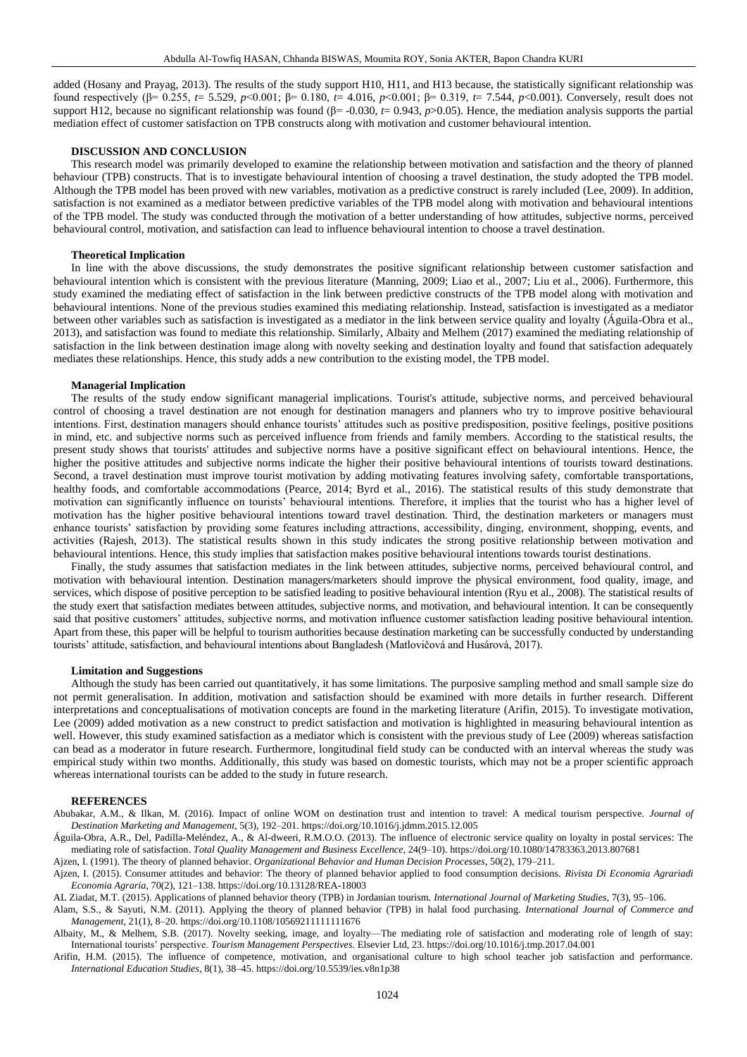added (Hosany and Prayag, 2013). The results of the study support H10, H11, and H13 because, the statistically significant relationship was found respectively (β= 0.255, *t*= 5.529, *p*<0.001; β= 0.180, *t*= 4.016, *p*<0.001; β= 0.319, *t*= 7.544, *p*<0.001). Conversely, result does not support H12, because no significant relationship was found (β= -0.030, *t*= 0.943, *p*>0.05). Hence, the mediation analysis supports the partial mediation effect of customer satisfaction on TPB constructs along with motivation and customer behavioural intention.

### **DISCUSSION AND CONCLUSION**

This research model was primarily developed to examine the relationship between motivation and satisfaction and the theory of planned behaviour (TPB) constructs. That is to investigate behavioural intention of choosing a travel destination, the study adopted the TPB model. Although the TPB model has been proved with new variables, motivation as a predictive construct is rarely included (Lee, 2009). In addition, satisfaction is not examined as a mediator between predictive variables of the TPB model along with motivation and behavioural intentions of the TPB model. The study was conducted through the motivation of a better understanding of how attitudes, subjective norms, perceived behavioural control, motivation, and satisfaction can lead to influence behavioural intention to choose a travel destination.

### **Theoretical Implication**

In line with the above discussions, the study demonstrates the positive significant relationship between customer satisfaction and behavioural intention which is consistent with the previous literature (Manning, 2009; Liao et al., 2007; Liu et al., 2006). Furthermore, this study examined the mediating effect of satisfaction in the link between predictive constructs of the TPB model along with motivation and behavioural intentions. None of the previous studies examined this mediating relationship. Instead, satisfaction is investigated as a mediator between other variables such as satisfaction is investigated as a mediator in the link between service quality and loyalty (Águila-Obra et al., 2013), and satisfaction was found to mediate this relationship. Similarly, Albaity and Melhem (2017) examined the mediating relationship of satisfaction in the link between destination image along with novelty seeking and destination loyalty and found that satisfaction adequately mediates these relationships. Hence, this study adds a new contribution to the existing model, the TPB model.

### **Managerial Implication**

The results of the study endow significant managerial implications. Tourist's attitude, subjective norms, and perceived behavioural control of choosing a travel destination are not enough for destination managers and planners who try to improve positive behavioural intentions. First, destination managers should enhance tourists' attitudes such as positive predisposition, positive feelings, positive positions in mind, etc. and subjective norms such as perceived influence from friends and family members. According to the statistical results, the present study shows that tourists' attitudes and subjective norms have a positive significant effect on behavioural intentions. Hence, the higher the positive attitudes and subjective norms indicate the higher their positive behavioural intentions of tourists toward destinations. Second, a travel destination must improve tourist motivation by adding motivating features involving safety, comfortable transportations, healthy foods, and comfortable accommodations (Pearce, 2014; Byrd et al., 2016). The statistical results of this study demonstrate that motivation can significantly influence on tourists' behavioural intentions. Therefore, it implies that the tourist who has a higher level of motivation has the higher positive behavioural intentions toward travel destination. Third, the destination marketers or managers must enhance tourists' satisfaction by providing some features including attractions, accessibility, dinging, environment, shopping, events, and activities (Rajesh, 2013). The statistical results shown in this study indicates the strong positive relationship between motivation and behavioural intentions. Hence, this study implies that satisfaction makes positive behavioural intentions towards tourist destinations.

Finally, the study assumes that satisfaction mediates in the link between attitudes, subjective norms, perceived behavioural control, and motivation with behavioural intention. Destination managers/marketers should improve the physical environment, food quality, image, and services, which dispose of positive perception to be satisfied leading to positive behavioural intention (Ryu et al., 2008). The statistical results of the study exert that satisfaction mediates between attitudes, subjective norms, and motivation, and behavioural intention. It can be consequently said that positive customers' attitudes, subjective norms, and motivation influence customer satisfaction leading positive behavioural intention. Apart from these, this paper will be helpful to tourism authorities because destination marketing can be successfully conducted by understanding tourists' attitude, satisfaction, and behavioural intentions about Bangladesh (Matlovičová and Husárová, 2017).

#### **Limitation and Suggestions**

Although the study has been carried out quantitatively, it has some limitations. The purposive sampling method and small sample size do not permit generalisation. In addition, motivation and satisfaction should be examined with more details in further research. Different interpretations and conceptualisations of motivation concepts are found in the marketing literature (Arifin, 2015). To investigate motivation, Lee (2009) added motivation as a new construct to predict satisfaction and motivation is highlighted in measuring behavioural intention as well. However, this study examined satisfaction as a mediator which is consistent with the previous study of Lee (2009) whereas satisfaction can bead as a moderator in future research. Furthermore, longitudinal field study can be conducted with an interval whereas the study was empirical study within two months. Additionally, this study was based on domestic tourists, which may not be a proper scientific approach whereas international tourists can be added to the study in future research.

### **REFERENCES**

Abubakar, A.M., & Ilkan, M. (2016). Impact of online WOM on destination trust and intention to travel: A medical tourism perspective. *Journal of Destination Marketing and Management*, 5(3), 192–201. https://doi.org/10.1016/j.jdmm.2015.12.005

Águila-Obra, A.R., Del, Padilla-Meléndez, A., & Al-dweeri, R.M.O.O. (2013). The influence of electronic service quality on loyalty in postal services: The mediating role of satisfaction. *Total Quality Management and Business Excellence*, 24(9–10). https://doi.org/10.1080/14783363.2013.807681

Ajzen, I. (1991). The theory of planned behavior. *Organizational Behavior and Human Decision Processes*, 50(2), 179–211.

Ajzen, I. (2015). Consumer attitudes and behavior: The theory of planned behavior applied to food consumption decisions. *Rivista Di Economia Agrariadi Economia Agraria*, 70(2), 121–138. https://doi.org/10.13128/REA-18003

AL Ziadat, M.T. (2015). Applications of planned behavior theory (TPB) in Jordanian tourism. *International Journal of Marketing Studies*, 7(3), 95–106.

Alam, S.S., & Sayuti, N.M. (2011). Applying the theory of planned behavior (TPB) in halal food purchasing. *International Journal of Commerce and Management*, 21(1), 8–20. https://doi.org/10.1108/10569211111111676

Albaity, M., & Melhem, S.B. (2017). Novelty seeking, image, and loyalty—The mediating role of satisfaction and moderating role of length of stay: International tourists' perspective. *Tourism Management Perspectives*. Elsevier Ltd, 23. https://doi.org/10.1016/j.tmp.2017.04.001

Arifin, H.M. (2015). The influence of competence, motivation, and organisational culture to high school teacher job satisfaction and performance. *International Education Studies*, 8(1), 38–45. https://doi.org/10.5539/ies.v8n1p38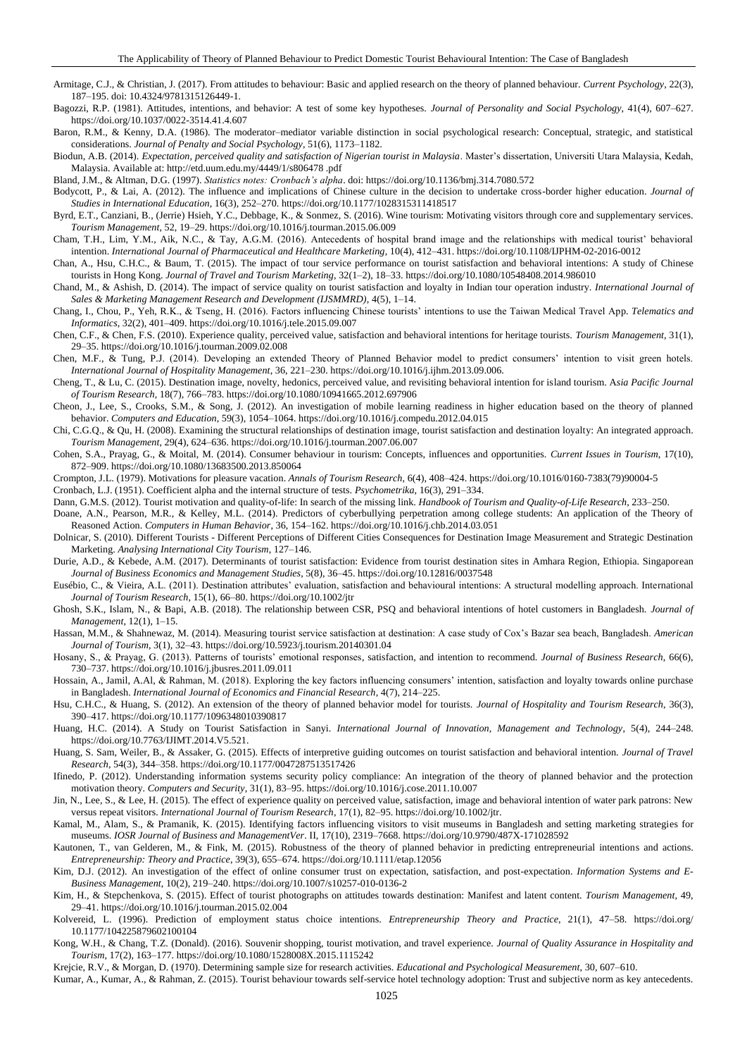Armitage, C.J., & Christian, J. (2017). From attitudes to behaviour: Basic and applied research on the theory of planned behaviour. *Current Psychology*, 22(3), 187–195. doi: 10.4324/9781315126449-1.

Bagozzi, R.P. (1981). Attitudes, intentions, and behavior: A test of some key hypotheses. *Journal of Personality and Social Psychology*, 41(4), 607–627. https://doi.org/10.1037/0022-3514.41.4.607

Baron, R.M., & Kenny, D.A. (1986). The moderator–mediator variable distinction in social psychological research: Conceptual, strategic, and statistical considerations. *Journal of Penalty and Social Psychology*, 51(6), 1173–1182.

Biodun, A.B. (2014). *Expectation, perceived quality and satisfaction of Nigerian tourist in Malaysia*. Master's dissertation, Universiti Utara Malaysia, Kedah, Malaysia. Available at: http://etd.uum.edu.my/4449/1/s806478 .pdf

Bland, J.M., & Altman, D.G. (1997). *Statistics notes: Cronbach's alpha*. doi: https://doi.org/10.1136/bmj.314.7080.572

Bodycott, P., & Lai, A. (2012). The influence and implications of Chinese culture in the decision to undertake cross-border higher education. *Journal of Studies in International Education*, 16(3), 252–270. https://doi.org/10.1177/1028315311418517

Byrd, E.T., Canziani, B., (Jerrie) Hsieh, Y.C., Debbage, K., & Sonmez, S. (2016). Wine tourism: Motivating visitors through core and supplementary services. *Tourism Management*, 52, 19–29. https://doi.org/10.1016/j.tourman.2015.06.009

Cham, T.H., Lim, Y.M., Aik, N.C., & Tay, A.G.M. (2016). Antecedents of hospital brand image and the relationships with medical tourist' behavioral intention. *International Journal of Pharmaceutical and Healthcare Marketing*, 10(4), 412–431. https://doi.org/10.1108/IJPHM-02-2016-0012

Chan, A., Hsu, C.H.C., & Baum, T. (2015). The impact of tour service performance on tourist satisfaction and behavioral intentions: A study of Chinese tourists in Hong Kong. *Journal of Travel and Tourism Marketing*, 32(1–2), 18–33. https://doi.org/10.1080/10548408.2014.986010

Chand, M., & Ashish, D. (2014). The impact of service quality on tourist satisfaction and loyalty in Indian tour operation industry. *International Journal of Sales & Marketing Management Research and Development (IJSMMRD)*, 4(5), 1–14.

Chang, I., Chou, P., Yeh, R.K., & Tseng, H. (2016). Factors influencing Chinese tourists' intentions to use the Taiwan Medical Travel App. *Telematics and Informatics*, 32(2), 401–409. https://doi.org/10.1016/j.tele.2015.09.007

Chen, C.F., & Chen, F.S. (2010). Experience quality, perceived value, satisfaction and behavioral intentions for heritage tourists. *Tourism Management*, 31(1), 29–35. https://doi.org/10.1016/j.tourman.2009.02.008

Chen, M.F., & Tung, P.J. (2014). Developing an extended Theory of Planned Behavior model to predict consumers' intention to visit green hotels. *International Journal of Hospitality Management*, 36, 221–230. https://doi.org/10.1016/j.ijhm.2013.09.006.

Cheng, T., & Lu, C. (2015). Destination image, novelty, hedonics, perceived value, and revisiting behavioral intention for island tourism. A*sia Pacific Journal of Tourism Research*, 18(7), 766–783. https://doi.org/10.1080/10941665.2012.697906

Cheon, J., Lee, S., Crooks, S.M., & Song, J. (2012). An investigation of mobile learning readiness in higher education based on the theory of planned behavior. *Computers and Education*, 59(3), 1054–1064. https://doi.org/10.1016/j.compedu.2012.04.015

Chi, C.G.Q., & Qu, H. (2008). Examining the structural relationships of destination image, tourist satisfaction and destination loyalty: An integrated approach. *Tourism Management*, 29(4), 624–636. https://doi.org/10.1016/j.tourman.2007.06.007

Cohen, S.A., Prayag, G., & Moital, M. (2014). Consumer behaviour in tourism: Concepts, influences and opportunities. *Current Issues in Tourism*, 17(10), 872–909. https://doi.org/10.1080/13683500.2013.850064

Crompton, J.L. (1979). Motivations for pleasure vacation. *Annals of Tourism Research*, 6(4), 408–424. https://doi.org/10.1016/0160-7383(79)90004-5

Cronbach, L.J. (1951). Coefficient alpha and the internal structure of tests. *Psychometrika*, 16(3), 291–334.

Dann, G.M.S. (2012). Tourist motivation and quality-of-life: In search of the missing link. *Handbook of Tourism and Quality-of-Life Research*, 233–250.

Doane, A.N., Pearson, M.R., & Kelley, M.L. (2014). Predictors of cyberbullying perpetration among college students: An application of the Theory of Reasoned Action. *Computers in Human Behavior*, 36, 154–162. https://doi.org/10.1016/j.chb.2014.03.051

Dolnicar, S. (2010). Different Tourists - Different Perceptions of Different Cities Consequences for Destination Image Measurement and Strategic Destination Marketing. *Analysing International City Tourism*, 127–146.

Durie, A.D., & Kebede, A.M. (2017). Determinants of tourist satisfaction: Evidence from tourist destination sites in Amhara Region, Ethiopia. Singaporean *Journal of Business Economics and Management Studies*, 5(8), 36–45. https://doi.org/10.12816/0037548

Eusébio, C., & Vieira, A.L. (2011). Destination attributes' evaluation, satisfaction and behavioural intentions: A structural modelling approach. International *Journal of Tourism Research*, 15(1), 66–80. https://doi.org/10.1002/jtr

Ghosh, S.K., Islam, N., & Bapi, A.B. (2018). The relationship between CSR, PSQ and behavioral intentions of hotel customers in Bangladesh. *Journal of Management*, 12(1), 1–15.

Hassan, M.M., & Shahnewaz, M. (2014). Measuring tourist service satisfaction at destination: A case study of Cox's Bazar sea beach, Bangladesh. *American Journal of Tourism*, 3(1), 32–43. https://doi.org/10.5923/j.tourism.20140301.04

Hosany, S., & Prayag, G. (2013). Patterns of tourists' emotional responses, satisfaction, and intention to recommend. *Journal of Business Research*, 66(6), 730–737. https://doi.org/10.1016/j.jbusres.2011.09.011

Hossain, A., Jamil, A.Al, & Rahman, M. (2018). Exploring the key factors influencing consumers' intention, satisfaction and loyalty towards online purchase in Bangladesh. *International Journal of Economics and Financial Research*, 4(7), 214–225.

Hsu, C.H.C., & Huang, S. (2012). An extension of the theory of planned behavior model for tourists. *Journal of Hospitality and Tourism Research*, 36(3), 390–417. https://doi.org/10.1177/1096348010390817

Huang, H.C. (2014). A Study on Tourist Satisfaction in Sanyi. *International Journal of Innovation, Management and Technology*, 5(4), 244–248. https://doi.org/10.7763/IJIMT.2014.V5.521.

Huang, S. Sam, Weiler, B., & Assaker, G. (2015). Effects of interpretive guiding outcomes on tourist satisfaction and behavioral intention. *Journal of Travel Research*, 54(3), 344–358. https://doi.org/10.1177/0047287513517426

Ifinedo, P. (2012). Understanding information systems security policy compliance: An integration of the theory of planned behavior and the protection motivation theory. *Computers and Security*, 31(1), 83–95. https://doi.org/10.1016/j.cose.2011.10.007

Jin, N., Lee, S., & Lee, H. (2015). The effect of experience quality on perceived value, satisfaction, image and behavioral intention of water park patrons: New versus repeat visitors. *International Journal of Tourism Research*, 17(1), 82–95. https://doi.org/10.1002/jtr.

Kamal, M., Alam, S., & Pramanik, K. (2015). Identifying factors influencing visitors to visit museums in Bangladesh and setting marketing strategies for museums. *IOSR Journal of Business and ManagementVer*. II, 17(10), 2319–7668. https://doi.org/10.9790/487X-171028592

Kautonen, T., van Gelderen, M., & Fink, M. (2015). Robustness of the theory of planned behavior in predicting entrepreneurial intentions and actions. *Entrepreneurship: Theory and Practice*, 39(3), 655–674. https://doi.org/10.1111/etap.12056

Kim, D.J. (2012). An investigation of the effect of online consumer trust on expectation, satisfaction, and post-expectation. *Information Systems and E-Business Management*, 10(2), 219–240. https://doi.org/10.1007/s10257-010-0136-2

Kim, H., & Stepchenkova, S. (2015). Effect of tourist photographs on attitudes towards destination: Manifest and latent content. *Tourism Management*, 49, 29–41. https://doi.org/10.1016/j.tourman.2015.02.004

Kolvereid, L. (1996). Prediction of employment status choice intentions. *Entrepreneurship Theory and Practice*, 21(1), 47–58. <https://doi.org/> 10.1177/104225879602100104

Kong, W.H., & Chang, T.Z. (Donald). (2016). Souvenir shopping, tourist motivation, and travel experience. *Journal of Quality Assurance in Hospitality and Tourism*, 17(2), 163–177. https://doi.org/10.1080/1528008X.2015.1115242

Krejcie, R.V., & Morgan, D. (1970). Determining sample size for research activities. *Educational and Psychological Measurement*, 30, 607–610.

Kumar, A., Kumar, A., & Rahman, Z. (2015). Tourist behaviour towards self-service hotel technology adoption: Trust and subjective norm as key antecedents.